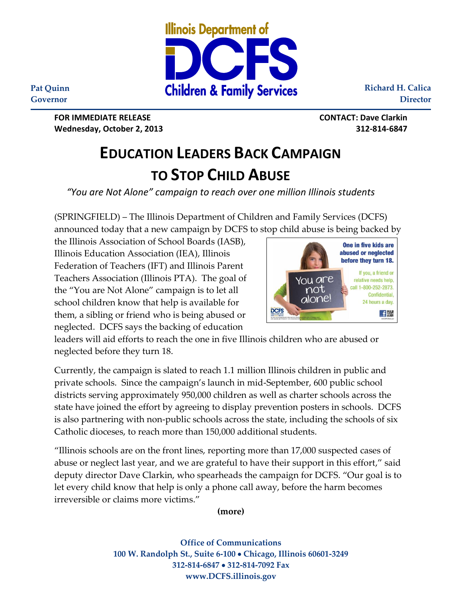

**Richard H. Calica Director**

**Pat Quinn Governor**

> **FOR IMMEDIATE RELEASE CONTACT: Dave Clarkin Wednesday, October 2, 2013 312-814-6847**

## **EDUCATION LEADERS BACK CAMPAIGN TO STOP CHILD ABUSE**

*"You are Not Alone" campaign to reach over one million Illinois students*

(SPRINGFIELD) – The Illinois Department of Children and Family Services (DCFS) announced today that a new campaign by DCFS to stop child abuse is being backed by

the Illinois Association of School Boards (IASB), Illinois Education Association (IEA), Illinois Federation of Teachers (IFT) and Illinois Parent Teachers Association (Illinois PTA). The goal of the "You are Not Alone" campaign is to let all school children know that help is available for them, a sibling or friend who is being abused or neglected. DCFS says the backing of education



leaders will aid efforts to reach the one in five Illinois children who are abused or neglected before they turn 18.

Currently, the campaign is slated to reach 1.1 million Illinois children in public and private schools. Since the campaign's launch in mid-September, 600 public school districts serving approximately 950,000 children as well as charter schools across the state have joined the effort by agreeing to display prevention posters in schools. DCFS is also partnering with non-public schools across the state, including the schools of six Catholic dioceses, to reach more than 150,000 additional students.

"Illinois schools are on the front lines, reporting more than 17,000 suspected cases of abuse or neglect last year, and we are grateful to have their support in this effort," said deputy director Dave Clarkin, who spearheads the campaign for DCFS. "Our goal is to let every child know that help is only a phone call away, before the harm becomes irreversible or claims more victims."

**(more)**

**Office of Communications 100 W. Randolph St., Suite 6-100 Chicago, Illinois 60601-3249 312-814-6847 312-814-7092 Fax www.DCFS.illinois.gov**